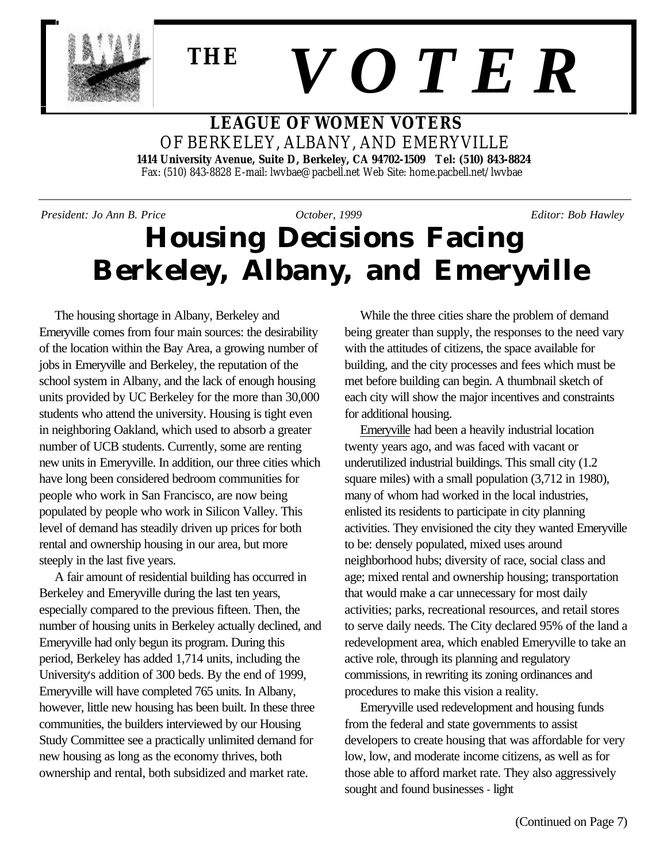

# *V O T E R* **THE**

#### **LEAGUE OF WOMEN VOTERS** OF BERKELEY, ALBANY, AND EMERYVILLE  **1414 University Avenue, Suite D, Berkeley, CA 94702-1509 Tel: (510) 843-8824** Fax: (510) 843-8828 E-mail: lwvbae@pacbell.net Web Site: home.pacbell.net/lwvbae

*President: Jo Ann B. Price October, 1999 Editor: Bob Hawley*

## **Housing Decisions Facing Berkeley, Albany, and Emeryville**

The housing shortage in Albany, Berkeley and Emeryville comes from four main sources: the desirability of the location within the Bay Area, a growing number of jobs in Emeryville and Berkeley, the reputation of the school system in Albany, and the lack of enough housing units provided by UC Berkeley for the more than 30,000 students who attend the university. Housing is tight even in neighboring Oakland, which used to absorb a greater number of UCB students. Currently, some are renting new units in Emeryville. In addition, our three cities which have long been considered bedroom communities for people who work in San Francisco, are now being populated by people who work in Silicon Valley. This level of demand has steadily driven up prices for both rental and ownership housing in our area, but more steeply in the last five years.

A fair amount of residential building has occurred in Berkeley and Emeryville during the last ten years, especially compared to the previous fifteen. Then, the number of housing units in Berkeley actually declined, and Emeryville had only begun its program. During this period, Berkeley has added 1,714 units, including the University's addition of 300 beds. By the end of 1999, Emeryville will have completed 765 units. In Albany, however, little new housing has been built. In these three communities, the builders interviewed by our Housing Study Committee see a practically unlimited demand for new housing as long as the economy thrives, both ownership and rental, both subsidized and market rate.

While the three cities share the problem of demand being greater than supply, the responses to the need vary with the attitudes of citizens, the space available for building, and the city processes and fees which must be met before building can begin. A thumbnail sketch of each city will show the major incentives and constraints for additional housing.

Emeryville had been a heavily industrial location twenty years ago, and was faced with vacant or underutilized industrial buildings. This small city (1.2 square miles) with a small population (3,712 in 1980), many of whom had worked in the local industries, enlisted its residents to participate in city planning activities. They envisioned the city they wanted Emeryville to be: densely populated, mixed uses around neighborhood hubs; diversity of race, social class and age; mixed rental and ownership housing; transportation that would make a car unnecessary for most daily activities; parks, recreational resources, and retail stores to serve daily needs. The City declared 95% of the land a redevelopment area, which enabled Emeryville to take an active role, through its planning and regulatory commissions, in rewriting its zoning ordinances and procedures to make this vision a reality.

Emeryville used redevelopment and housing funds from the federal and state governments to assist developers to create housing that was affordable for very low, low, and moderate income citizens, as well as for those able to afford market rate. They also aggressively sought and found businesses - light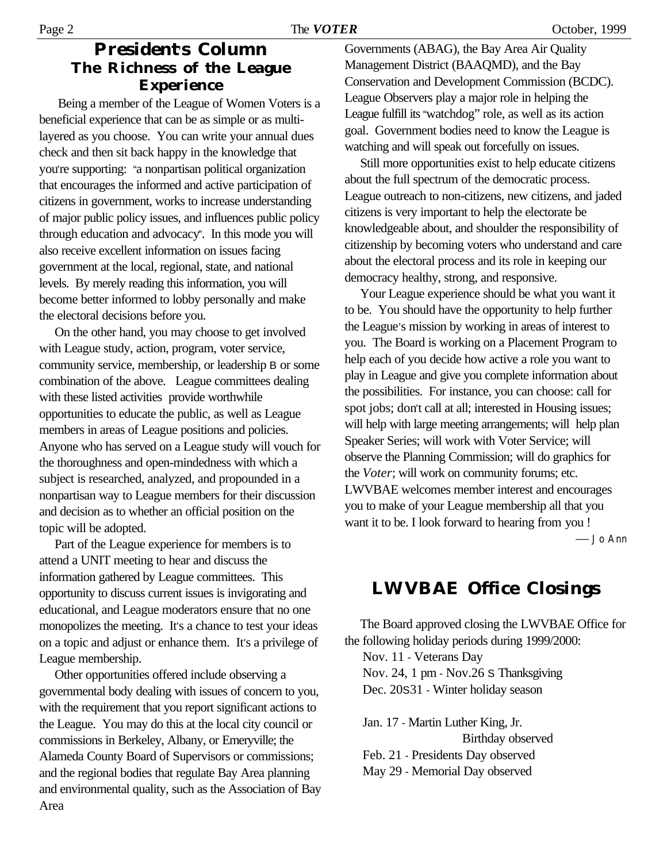#### **President's Column The Richness of the League Experience**

 Being a member of the League of Women Voters is a beneficial experience that can be as simple or as multilayered as you choose. You can write your annual dues check and then sit back happy in the knowledge that you're supporting: "a nonpartisan political organization that encourages the informed and active participation of citizens in government, works to increase understanding of major public policy issues, and influences public policy through education and advocacy". In this mode you will also receive excellent information on issues facing government at the local, regional, state, and national levels. By merely reading this information, you will become better informed to lobby personally and make the electoral decisions before you.

On the other hand, you may choose to get involved with League study, action, program, voter service, community service, membership, or leadership B or some combination of the above. League committees dealing with these listed activities provide worthwhile opportunities to educate the public, as well as League members in areas of League positions and policies. Anyone who has served on a League study will vouch for the thoroughness and open-mindedness with which a subject is researched, analyzed, and propounded in a nonpartisan way to League members for their discussion and decision as to whether an official position on the topic will be adopted.

Part of the League experience for members is to attend a UNIT meeting to hear and discuss the information gathered by League committees. This opportunity to discuss current issues is invigorating and educational, and League moderators ensure that no one monopolizes the meeting. It's a chance to test your ideas on a topic and adjust or enhance them. It's a privilege of League membership.

Other opportunities offered include observing a governmental body dealing with issues of concern to you, with the requirement that you report significant actions to the League. You may do this at the local city council or commissions in Berkeley, Albany, or Emeryville; the Alameda County Board of Supervisors or commissions; and the regional bodies that regulate Bay Area planning and environmental quality, such as the Association of Bay Area

Governments (ABAG), the Bay Area Air Quality Management District (BAAQMD), and the Bay Conservation and Development Commission (BCDC). League Observers play a major role in helping the League fulfill its "watchdog" role, as well as its action goal. Government bodies need to know the League is watching and will speak out forcefully on issues.

Still more opportunities exist to help educate citizens about the full spectrum of the democratic process. League outreach to non-citizens, new citizens, and jaded citizens is very important to help the electorate be knowledgeable about, and shoulder the responsibility of citizenship by becoming voters who understand and care about the electoral process and its role in keeping our democracy healthy, strong, and responsive.

Your League experience should be what you want it to be. You should have the opportunity to help further the League's mission by working in areas of interest to you. The Board is working on a Placement Program to help each of you decide how active a role you want to play in League and give you complete information about the possibilities. For instance, you can choose: call for spot jobs; don't call at all; interested in Housing issues; will help with large meeting arrangements; will help plan Speaker Series; will work with Voter Service; will observe the Planning Commission; will do graphics for the *Voter*; will work on community forums; etc. LWVBAE welcomes member interest and encourages you to make of your League membership all that you want it to be. I look forward to hearing from you !

— Jo Ann

### **LWVBAE Office Closings**

The Board approved closing the LWVBAE Office for the following holiday periods during 1999/2000:

Nov. 11 - Veterans Day

Nov. 24, 1 pm - Nov.26 S Thanksgiving

Dec. 20S31 - Winter holiday season

Jan. 17 - Martin Luther King, Jr. Birthday observed Feb. 21 - Presidents Day observed May 29 - Memorial Day observed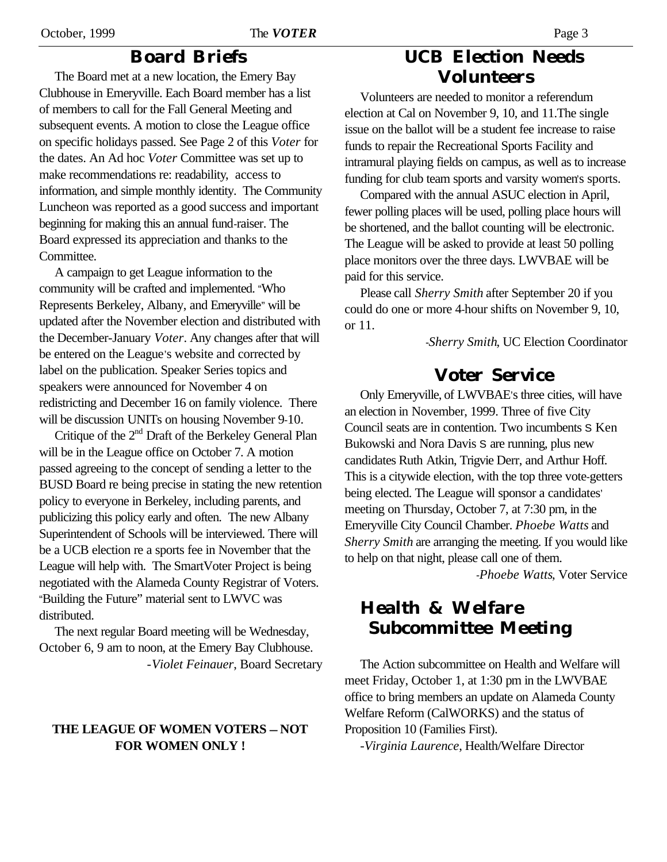#### October, 1999 The *VOTER* Page 3

#### **Board Briefs**

The Board met at a new location, the Emery Bay Clubhouse in Emeryville. Each Board member has a list of members to call for the Fall General Meeting and subsequent events. A motion to close the League office on specific holidays passed. See Page 2 of this *Voter* for the dates. An Ad hoc *Voter* Committee was set up to make recommendations re: readability, access to information, and simple monthly identity. The Community Luncheon was reported as a good success and important beginning for making this an annual fund-raiser. The Board expressed its appreciation and thanks to the Committee.

A campaign to get League information to the community will be crafted and implemented. "Who Represents Berkeley, Albany, and Emeryville" will be updated after the November election and distributed with the December-January *Voter*. Any changes after that will be entered on the League's website and corrected by label on the publication. Speaker Series topics and speakers were announced for November 4 on redistricting and December 16 on family violence. There will be discussion UNITs on housing November 9-10.

Critique of the 2<sup>nd</sup> Draft of the Berkeley General Plan will be in the League office on October 7. A motion passed agreeing to the concept of sending a letter to the BUSD Board re being precise in stating the new retention policy to everyone in Berkeley, including parents, and publicizing this policy early and often. The new Albany Superintendent of Schools will be interviewed. There will be a UCB election re a sports fee in November that the League will help with. The SmartVoter Project is being negotiated with the Alameda County Registrar of Voters. "Building the Future" material sent to LWVC was distributed.

The next regular Board meeting will be Wednesday, October 6, 9 am to noon, at the Emery Bay Clubhouse. -*Violet Feinauer*, Board Secretary

#### **THE LEAGUE OF WOMEN VOTERS — NOT FOR WOMEN ONLY !**

### **UCB Election Needs Volunteers**

Volunteers are needed to monitor a referendum election at Cal on November 9, 10, and 11.The single issue on the ballot will be a student fee increase to raise funds to repair the Recreational Sports Facility and intramural playing fields on campus, as well as to increase funding for club team sports and varsity women's sports.

Compared with the annual ASUC election in April, fewer polling places will be used, polling place hours will be shortened, and the ballot counting will be electronic. The League will be asked to provide at least 50 polling place monitors over the three days. LWVBAE will be paid for this service.

Please call *Sherry Smith* after September 20 if you could do one or more 4-hour shifts on November 9, 10, or 11.

-*Sherry Smith*, UC Election Coordinator

### **Voter Service**

Only Emeryville, of LWVBAE's three cities, will have an election in November, 1999. Three of five City Council seats are in contention. Two incumbents S Ken Bukowski and Nora Davis S are running, plus new candidates Ruth Atkin, Trigvie Derr, and Arthur Hoff. This is a citywide election, with the top three vote-getters being elected. The League will sponsor a candidates' meeting on Thursday, October 7, at 7:30 pm, in the Emeryville City Council Chamber. *Phoebe Watts* and *Sherry Smith* are arranging the meeting. If you would like to help on that night, please call one of them.

-*Phoebe Watts*, Voter Service

### **Health & Welfare Subcommittee Meeting**

The Action subcommittee on Health and Welfare will meet Friday, October 1, at 1:30 pm in the LWVBAE office to bring members an update on Alameda County Welfare Reform (CalWORKS) and the status of Proposition 10 (Families First).

*-Virginia Laurence*, Health/Welfare Director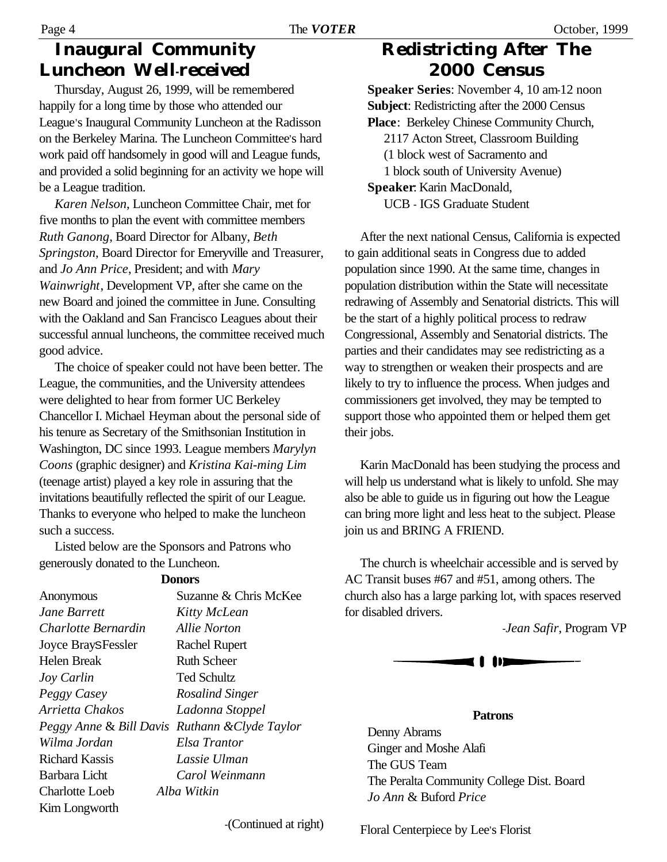### **Inaugural Community Luncheon Well-received**

Thursday, August 26, 1999, will be remembered happily for a long time by those who attended our League's Inaugural Community Luncheon at the Radisson on the Berkeley Marina. The Luncheon Committee's hard work paid off handsomely in good will and League funds, and provided a solid beginning for an activity we hope will be a League tradition.

*Karen Nelson*, Luncheon Committee Chair, met for five months to plan the event with committee members *Ruth Ganong*, Board Director for Albany, *Beth Springston*, Board Director for Emeryville and Treasurer, and *Jo Ann Price*, President; and with *Mary Wainwright*, Development VP, after she came on the new Board and joined the committee in June. Consulting with the Oakland and San Francisco Leagues about their successful annual luncheons, the committee received much good advice.

The choice of speaker could not have been better. The League, the communities, and the University attendees were delighted to hear from former UC Berkeley Chancellor I. Michael Heyman about the personal side of his tenure as Secretary of the Smithsonian Institution in Washington, DC since 1993. League members *Marylyn Coons* (graphic designer) and *Kristina Kai-ming Lim* (teenage artist) played a key role in assuring that the invitations beautifully reflected the spirit of our League. Thanks to everyone who helped to make the luncheon such a success.

Listed below are the Sponsors and Patrons who generously donated to the Luncheon.

**Donors**

|                                                | vww.                  |
|------------------------------------------------|-----------------------|
| Anonymous                                      | Suzanne & Chris McKee |
| Jane Barrett                                   | Kitty McLean          |
| Charlotte Bernardin                            | Allie Norton          |
| <b>Joyce BraySFessler</b>                      | <b>Rachel Rupert</b>  |
| Helen Break                                    | <b>Ruth Scheer</b>    |
| Joy Carlin                                     | Ted Schultz           |
| Peggy Casey                                    | Rosalind Singer       |
| Arrietta Chakos                                | Ladonna Stoppel       |
| Peggy Anne & Bill Davis Ruthann & Clyde Taylor |                       |
| Wilma Jordan                                   | Elsa Trantor          |
| <b>Richard Kassis</b>                          | Lassie Ulman          |
| Barbara Licht                                  | Carol Weinmann        |
| Charlotte Loeb                                 | Alba Witkin           |
| Kim Longworth                                  |                       |
|                                                |                       |

### **Redistricting After The 2000 Census**

**Speaker Series**: November 4, 10 am-12 noon **Subject**: Redistricting after the 2000 Census **Place**: Berkeley Chinese Community Church, 2117 Acton Street, Classroom Building (1 block west of Sacramento and 1 block south of University Avenue) **Speaker**: Karin MacDonald, UCB - IGS Graduate Student

After the next national Census, California is expected to gain additional seats in Congress due to added population since 1990. At the same time, changes in population distribution within the State will necessitate redrawing of Assembly and Senatorial districts. This will be the start of a highly political process to redraw Congressional, Assembly and Senatorial districts. The parties and their candidates may see redistricting as a way to strengthen or weaken their prospects and are likely to try to influence the process. When judges and commissioners get involved, they may be tempted to support those who appointed them or helped them get their jobs.

Karin MacDonald has been studying the process and will help us understand what is likely to unfold. She may also be able to guide us in figuring out how the League can bring more light and less heat to the subject. Please join us and BRING A FRIEND.

The church is wheelchair accessible and is served by AC Transit buses #67 and #51, among others. The church also has a large parking lot, with spaces reserved for disabled drivers.

-*Jean Safir*, Program VP



#### **Patrons**

Denny Abrams Ginger and Moshe Alafi The GUS Team The Peralta Community College Dist. Board *Jo Ann* & Buford *Price*

-(Continued at right)

Floral Centerpiece by Lee's Florist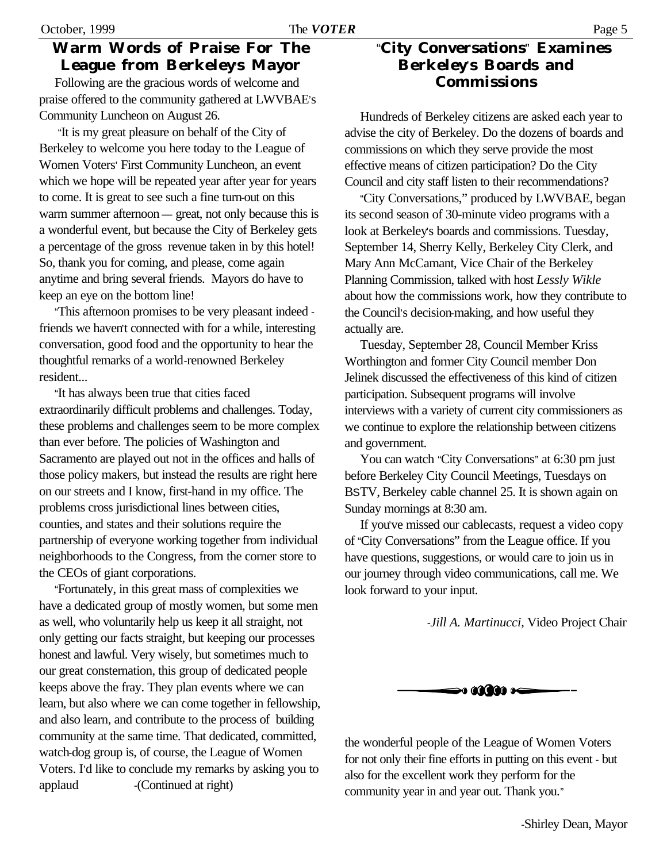#### **Warm Words of Praise For The League from Berkeley's Mayor**

Following are the gracious words of welcome and praise offered to the community gathered at LWVBAE's Community Luncheon on August 26.

"It is my great pleasure on behalf of the City of Berkeley to welcome you here today to the League of Women Voters' First Community Luncheon, an event which we hope will be repeated year after year for years to come. It is great to see such a fine turn-out on this warm summer afternoon — great, not only because this is a wonderful event, but because the City of Berkeley gets a percentage of the gross revenue taken in by this hotel! So, thank you for coming, and please, come again anytime and bring several friends. Mayors do have to keep an eye on the bottom line!

"This afternoon promises to be very pleasant indeed friends we haven't connected with for a while, interesting conversation, good food and the opportunity to hear the thoughtful remarks of a world-renowned Berkeley resident...

"It has always been true that cities faced extraordinarily difficult problems and challenges. Today, these problems and challenges seem to be more complex than ever before. The policies of Washington and Sacramento are played out not in the offices and halls of those policy makers, but instead the results are right here on our streets and I know, first-hand in my office. The problems cross jurisdictional lines between cities, counties, and states and their solutions require the partnership of everyone working together from individual neighborhoods to the Congress, from the corner store to the CEOs of giant corporations.

"Fortunately, in this great mass of complexities we have a dedicated group of mostly women, but some men as well, who voluntarily help us keep it all straight, not only getting our facts straight, but keeping our processes honest and lawful. Very wisely, but sometimes much to our great consternation, this group of dedicated people keeps above the fray. They plan events where we can learn, but also where we can come together in fellowship, and also learn, and contribute to the process of building community at the same time. That dedicated, committed, watch-dog group is, of course, the League of Women Voters. I'd like to conclude my remarks by asking you to applaud -(Continued at right)

#### "**City Conversations**" **Examines Berkeley**'**s Boards and Commissions**

Hundreds of Berkeley citizens are asked each year to advise the city of Berkeley. Do the dozens of boards and commissions on which they serve provide the most effective means of citizen participation? Do the City Council and city staff listen to their recommendations?

"City Conversations," produced by LWVBAE, began its second season of 30-minute video programs with a look at Berkeley's boards and commissions. Tuesday, September 14, Sherry Kelly, Berkeley City Clerk, and Mary Ann McCamant, Vice Chair of the Berkeley Planning Commission, talked with host *Lessly Wikle* about how the commissions work, how they contribute to the Council's decision-making, and how useful they actually are.

Tuesday, September 28, Council Member Kriss Worthington and former City Council member Don Jelinek discussed the effectiveness of this kind of citizen participation. Subsequent programs will involve interviews with a variety of current city commissioners as we continue to explore the relationship between citizens and government.

You can watch "City Conversations" at 6:30 pm just before Berkeley City Council Meetings, Tuesdays on BSTV, Berkeley cable channel 25. It is shown again on Sunday mornings at 8:30 am.

If you've missed our cablecasts, request a video copy of "City Conversations" from the League office. If you have questions, suggestions, or would care to join us in our journey through video communications, call me. We look forward to your input.

-*Jill A. Martinucci*, Video Project Chair



the wonderful people of the League of Women Voters for not only their fine efforts in putting on this event - but also for the excellent work they perform for the community year in and year out. Thank you."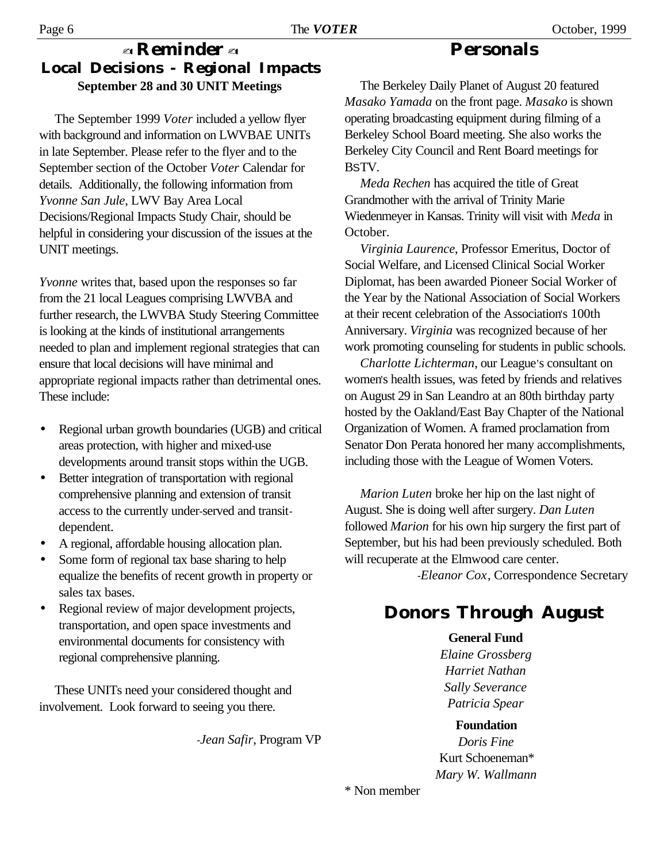### - **Reminder** - **Local Decisions - Regional Impacts September 28 and 30 UNIT Meetings**

The September 1999 *Voter* included a yellow flyer with background and information on LWVBAE UNITs in late September. Please refer to the flyer and to the September section of the October *Voter* Calendar for details. Additionally, the following information from *Yvonne San Jule*, LWV Bay Area Local Decisions/Regional Impacts Study Chair, should be helpful in considering your discussion of the issues at the UNIT meetings.

*Yvonne* writes that, based upon the responses so far from the 21 local Leagues comprising LWVBA and further research, the LWVBA Study Steering Committee is looking at the kinds of institutional arrangements needed to plan and implement regional strategies that can ensure that local decisions will have minimal and appropriate regional impacts rather than detrimental ones. These include:

- Regional urban growth boundaries (UGB) and critical areas protection, with higher and mixed-use developments around transit stops within the UGB.
- Better integration of transportation with regional comprehensive planning and extension of transit access to the currently under-served and transitdependent.
- A regional, affordable housing allocation plan.
- Some form of regional tax base sharing to help equalize the benefits of recent growth in property or sales tax bases.
- Regional review of major development projects, transportation, and open space investments and environmental documents for consistency with regional comprehensive planning.

These UNITs need your considered thought and involvement. Look forward to seeing you there.

-*Jean Safir*, Program VP

The Berkeley Daily Planet of August 20 featured *Masako Yamada* on the front page. *Masako* is shown operating broadcasting equipment during filming of a Berkeley School Board meeting. She also works the Berkeley City Council and Rent Board meetings for BSTV.

*Meda Rechen* has acquired the title of Great Grandmother with the arrival of Trinity Marie Wiedenmeyer in Kansas. Trinity will visit with *Meda* in October.

*Virginia Laurence*, Professor Emeritus, Doctor of Social Welfare, and Licensed Clinical Social Worker Diplomat, has been awarded Pioneer Social Worker of the Year by the National Association of Social Workers at their recent celebration of the Association's 100th Anniversary. *Virginia* was recognized because of her work promoting counseling for students in public schools.

*Charlotte Lichterman*, our League's consultant on women's health issues, was feted by friends and relatives on August 29 in San Leandro at an 80th birthday party hosted by the Oakland/East Bay Chapter of the National Organization of Women. A framed proclamation from Senator Don Perata honored her many accomplishments, including those with the League of Women Voters.

*Marion Luten* broke her hip on the last night of August. She is doing well after surgery. *Dan Luten* followed *Marion* for his own hip surgery the first part of September, but his had been previously scheduled. Both will recuperate at the Elmwood care center.

-*Eleanor Cox*, Correspondence Secretary

### **Donors Through August**

**General Fund** *Elaine Grossberg Harriet Nathan Sally Severance Patricia Spear*

**Foundation** *Doris Fine* Kurt Schoeneman\* *Mary W. Wallmann*

\* Non member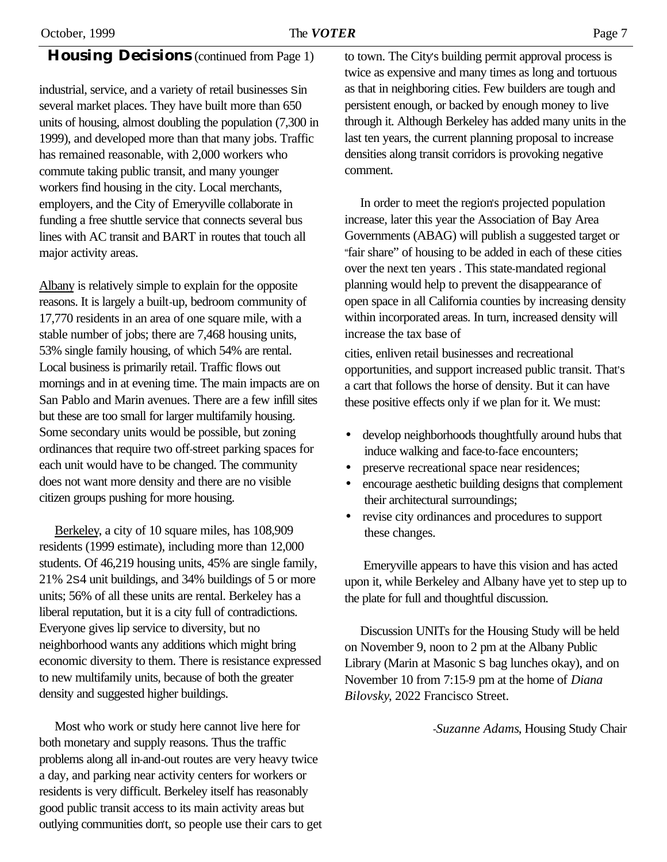#### **Housing Decisions** (continued from Page 1)

industrial, service, and a variety of retail businesses Sin several market places. They have built more than 650 units of housing, almost doubling the population (7,300 in 1999), and developed more than that many jobs. Traffic has remained reasonable, with 2,000 workers who commute taking public transit, and many younger workers find housing in the city. Local merchants, employers, and the City of Emeryville collaborate in funding a free shuttle service that connects several bus lines with AC transit and BART in routes that touch all major activity areas.

Albany is relatively simple to explain for the opposite reasons. It is largely a built-up, bedroom community of 17,770 residents in an area of one square mile, with a stable number of jobs; there are 7,468 housing units, 53% single family housing, of which 54% are rental. Local business is primarily retail. Traffic flows out mornings and in at evening time. The main impacts are on San Pablo and Marin avenues. There are a few infill sites but these are too small for larger multifamily housing. Some secondary units would be possible, but zoning ordinances that require two off-street parking spaces for each unit would have to be changed. The community does not want more density and there are no visible citizen groups pushing for more housing.

Berkeley, a city of 10 square miles, has 108,909 residents (1999 estimate), including more than 12,000 students. Of 46,219 housing units, 45% are single family, 21% 2S4 unit buildings, and 34% buildings of 5 or more units; 56% of all these units are rental. Berkeley has a liberal reputation, but it is a city full of contradictions. Everyone gives lip service to diversity, but no neighborhood wants any additions which might bring economic diversity to them. There is resistance expressed to new multifamily units, because of both the greater density and suggested higher buildings.

Most who work or study here cannot live here for both monetary and supply reasons. Thus the traffic problems along all in-and-out routes are very heavy twice a day, and parking near activity centers for workers or residents is very difficult. Berkeley itself has reasonably good public transit access to its main activity areas but outlying communities don't, so people use their cars to get to town. The City's building permit approval process is twice as expensive and many times as long and tortuous as that in neighboring cities. Few builders are tough and persistent enough, or backed by enough money to live through it. Although Berkeley has added many units in the last ten years, the current planning proposal to increase densities along transit corridors is provoking negative comment.

In order to meet the region's projected population increase, later this year the Association of Bay Area Governments (ABAG) will publish a suggested target or "fair share" of housing to be added in each of these cities over the next ten years . This state-mandated regional planning would help to prevent the disappearance of open space in all California counties by increasing density within incorporated areas. In turn, increased density will increase the tax base of

cities, enliven retail businesses and recreational opportunities, and support increased public transit. That's a cart that follows the horse of density. But it can have these positive effects only if we plan for it. We must:

- develop neighborhoods thoughtfully around hubs that induce walking and face-to-face encounters;
- preserve recreational space near residences;
- encourage aesthetic building designs that complement their architectural surroundings;
- revise city ordinances and procedures to support these changes.

Emeryville appears to have this vision and has acted upon it, while Berkeley and Albany have yet to step up to the plate for full and thoughtful discussion.

Discussion UNITs for the Housing Study will be held on November 9, noon to 2 pm at the Albany Public Library (Marin at Masonic S bag lunches okay), and on November 10 from 7:15-9 pm at the home of *Diana Bilovsky*, 2022 Francisco Street.

-*Suzanne Adams*, Housing Study Chair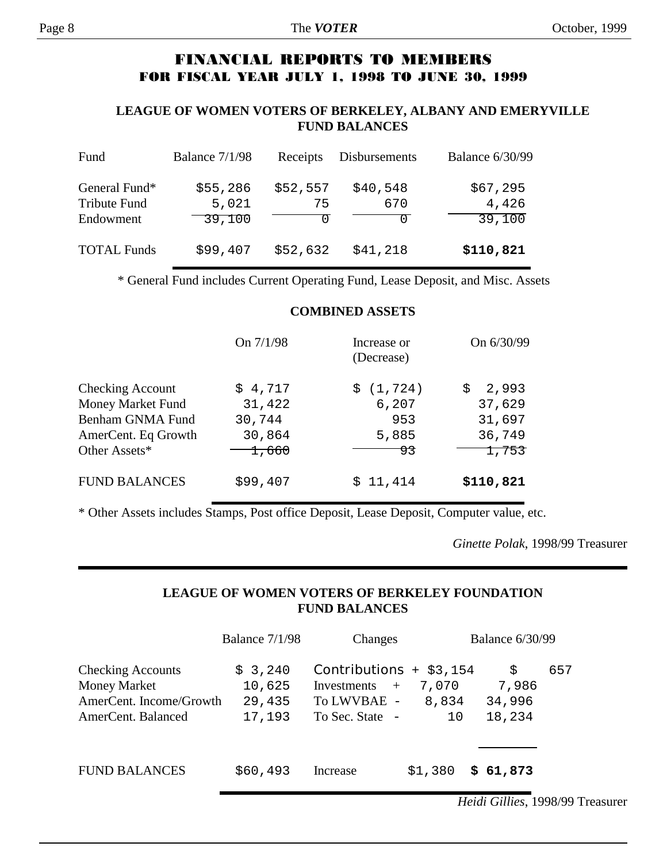#### **FINANCIAL REPORTS TO MEMBERS FOR FISCAL YEAR JULY 1, 1998 TO JUNE 30, 1999**

#### **LEAGUE OF WOMEN VOTERS OF BERKELEY, ALBANY AND EMERYVILLE FUND BALANCES**

| Fund                                       | Balance $7/1/98$            | Receipts       | Disbursements   | <b>Balance 6/30/99</b>      |
|--------------------------------------------|-----------------------------|----------------|-----------------|-----------------------------|
| General Fund*<br>Tribute Fund<br>Endowment | \$55,286<br>5,021<br>39,100 | \$52,557<br>75 | \$40,548<br>670 | \$67,295<br>4,426<br>39,100 |
| <b>TOTAL Funds</b>                         | \$99,407                    | \$52,632       | \$41,218        | \$110,821                   |

\* General Fund includes Current Operating Fund, Lease Deposit, and Misc. Assets

#### **COMBINED ASSETS**

|                         | On $7/1/98$        | Increase or<br>(Decrease) | On 6/30/99   |
|-------------------------|--------------------|---------------------------|--------------|
| <b>Checking Account</b> | \$4,717            | \$ (1, 724)               | 2,993<br>\$. |
| Money Market Fund       | 31,422             | 6,207                     | 37,629       |
| Benham GNMA Fund        | 30,744             | 953                       | 31,697       |
| AmerCent. Eq Growth     | 30,864             | 5,885                     | 36,749       |
| Other Assets*           | $\overline{1,660}$ | 93                        | 1,753        |
| <b>FUND BALANCES</b>    | \$99,407           | \$11,414                  | \$110,821    |

\* Other Assets includes Stamps, Post office Deposit, Lease Deposit, Computer value, etc.

*Ginette Polak*, 1998/99 Treasurer

#### **LEAGUE OF WOMEN VOTERS OF BERKELEY FOUNDATION FUND BALANCES**

|                                                                                                  | Balance 7/1/98                        | Changes                                                                          |                      | <b>Balance 6/30/99</b>         |     |
|--------------------------------------------------------------------------------------------------|---------------------------------------|----------------------------------------------------------------------------------|----------------------|--------------------------------|-----|
| <b>Checking Accounts</b><br><b>Money Market</b><br>AmerCent. Income/Growth<br>AmerCent. Balanced | \$3,240<br>10,625<br>29,435<br>17,193 | Contributions $+$ \$3,154<br>Investments $+$<br>To LWVBAE -<br>To Sec. State $-$ | 7,070<br>8,834<br>10 | S<br>7,986<br>34,996<br>18,234 | 657 |
| <b>FUND BALANCES</b>                                                                             | \$60,493                              | Increase                                                                         | \$1,380              | \$61,873                       |     |

*Heidi Gillies*, 1998/99 Treasurer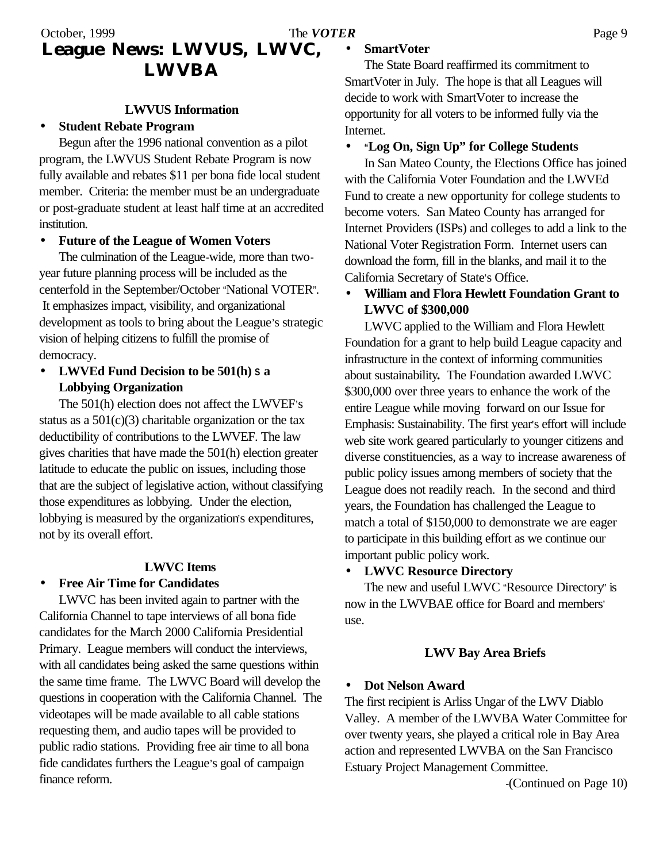#### October, 1999 **Page 9** The *VOTER* Page 9 **League News: LWVUS, LWVC, LWVBA**

#### **LWVUS Information**

#### • **Student Rebate Program**

Begun after the 1996 national convention as a pilot program, the LWVUS Student Rebate Program is now fully available and rebates \$11 per bona fide local student member. Criteria: the member must be an undergraduate or post-graduate student at least half time at an accredited institution.

#### • **Future of the League of Women Voters**

The culmination of the League-wide, more than twoyear future planning process will be included as the centerfold in the September/October "National VOTER". It emphasizes impact, visibility, and organizational development as tools to bring about the League's strategic vision of helping citizens to fulfill the promise of democracy.

• **LWVEd Fund Decision to be 501(h) S a Lobbying Organization**

The 501(h) election does not affect the LWVEF's status as a  $501(c)(3)$  charitable organization or the tax deductibility of contributions to the LWVEF. The law gives charities that have made the 501(h) election greater latitude to educate the public on issues, including those that are the subject of legislative action, without classifying those expenditures as lobbying. Under the election, lobbying is measured by the organization's expenditures, not by its overall effort.

#### **LWVC Items**

#### • **Free Air Time for Candidates**

LWVC has been invited again to partner with the California Channel to tape interviews of all bona fide candidates for the March 2000 California Presidential Primary. League members will conduct the interviews, with all candidates being asked the same questions within the same time frame. The LWVC Board will develop the questions in cooperation with the California Channel. The videotapes will be made available to all cable stations requesting them, and audio tapes will be provided to public radio stations. Providing free air time to all bona fide candidates furthers the League's goal of campaign finance reform.

#### • **SmartVoter**

The State Board reaffirmed its commitment to SmartVoter in July. The hope is that all Leagues will decide to work with SmartVoter to increase the opportunity for all voters to be informed fully via the Internet.

#### • **"Log On, Sign Up" for College Students**

In San Mateo County, the Elections Office has joined with the California Voter Foundation and the LWVEd Fund to create a new opportunity for college students to become voters. San Mateo County has arranged for Internet Providers (ISPs) and colleges to add a link to the National Voter Registration Form. Internet users can download the form, fill in the blanks, and mail it to the California Secretary of State's Office.

#### • **William and Flora Hewlett Foundation Grant to LWVC of \$300,000**

LWVC applied to the William and Flora Hewlett Foundation for a grant to help build League capacity and infrastructure in the context of informing communities about sustainability**.** The Foundation awarded LWVC \$300,000 over three years to enhance the work of the entire League while moving forward on our Issue for Emphasis: Sustainability. The first year's effort will include web site work geared particularly to younger citizens and diverse constituencies, as a way to increase awareness of public policy issues among members of society that the League does not readily reach.In the second and third years, the Foundation has challenged the League to match a total of \$150,000 to demonstrate we are eager to participate in this building effort as we continue our important public policy work.

#### • **LWVC Resource Directory**

The new and useful LWVC "Resource Directory" is now in the LWVBAE office for Board and members' use.

#### **LWV Bay Area Briefs**

#### • **Dot Nelson Award**

The first recipient is Arliss Ungar of the LWV Diablo Valley. A member of the LWVBA Water Committee for over twenty years, she played a critical role in Bay Area action and represented LWVBA on the San Francisco Estuary Project Management Committee.

-(Continued on Page 10)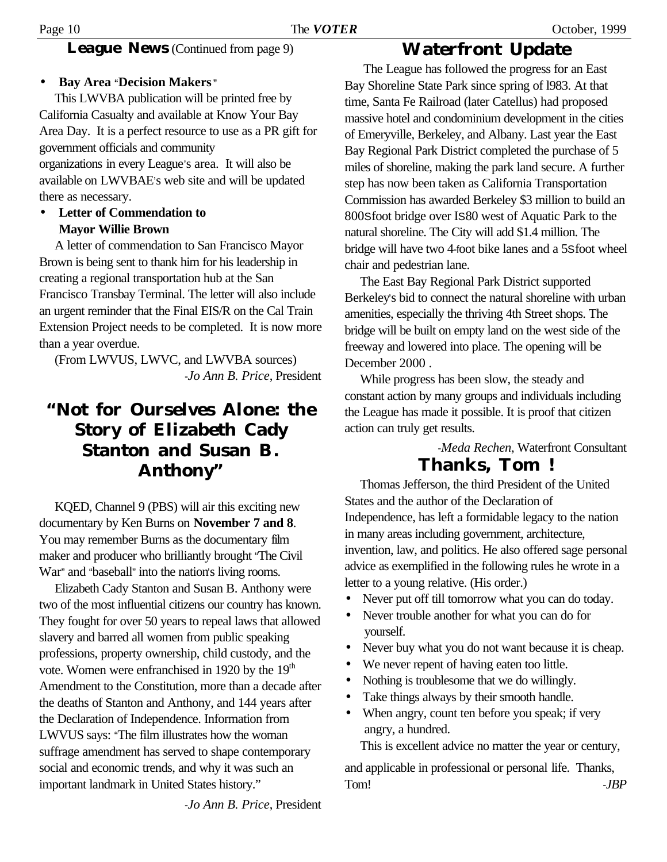#### **League News** (Continued from page 9)

#### • **Bay Area "Decision Makers "**

This LWVBA publication will be printed free by California Casualty and available at Know Your Bay Area Day. It is a perfect resource to use as a PR gift for government officials and community organizations in every League's area.It will also be available on LWVBAE's web site and will be updated there as necessary.

#### • **Letter of Commendation to Mayor Willie Brown**

A letter of commendation to San Francisco Mayor Brown is being sent to thank him for his leadership in creating a regional transportation hub at the San Francisco Transbay Terminal. The letter will also include an urgent reminder that the Final EIS/R on the Cal Train Extension Project needs to be completed. It is now more than a year overdue.

(From LWVUS, LWVC, and LWVBA sources) -*Jo Ann B. Price*, President

### **"Not for Ourselves Alone: the Story of Elizabeth Cady Stanton and Susan B. Anthony"**

KQED, Channel 9 (PBS) will air this exciting new documentary by Ken Burns on **November 7 and 8**. You may remember Burns as the documentary film maker and producer who brilliantly brought "The Civil War" and "baseball" into the nation's living rooms.

Elizabeth Cady Stanton and Susan B. Anthony were two of the most influential citizens our country has known. They fought for over 50 years to repeal laws that allowed slavery and barred all women from public speaking professions, property ownership, child custody, and the vote. Women were enfranchised in 1920 by the 19<sup>th</sup> Amendment to the Constitution, more than a decade after the deaths of Stanton and Anthony, and 144 years after the Declaration of Independence. Information from LWVUS says: "The film illustrates how the woman suffrage amendment has served to shape contemporary social and economic trends, and why it was such an important landmark in United States history."

**Waterfront Update**

 The League has followed the progress for an East Bay Shoreline State Park since spring of l983. At that time, Santa Fe Railroad (later Catellus) had proposed massive hotel and condominium development in the cities of Emeryville, Berkeley, and Albany. Last year the East Bay Regional Park District completed the purchase of 5 miles of shoreline, making the park land secure. A further step has now been taken as California Transportation Commission has awarded Berkeley \$3 million to build an 800Sfoot bridge over IS80 west of Aquatic Park to the natural shoreline. The City will add \$1.4 million. The bridge will have two 4-foot bike lanes and a 5Sfoot wheel chair and pedestrian lane.

The East Bay Regional Park District supported Berkeley's bid to connect the natural shoreline with urban amenities, especially the thriving 4th Street shops. The bridge will be built on empty land on the west side of the freeway and lowered into place. The opening will be December 2000 .

While progress has been slow, the steady and constant action by many groups and individuals including the League has made it possible. It is proof that citizen action can truly get results.

-*Meda Rechen*, Waterfront Consultant

### **Thanks, Tom !**

Thomas Jefferson, the third President of the United States and the author of the Declaration of Independence, has left a formidable legacy to the nation in many areas including government, architecture, invention, law, and politics. He also offered sage personal advice as exemplified in the following rules he wrote in a letter to a young relative. (His order.)

- Never put off till tomorrow what you can do today.
- Never trouble another for what you can do for yourself.
- Never buy what you do not want because it is cheap.
- We never repent of having eaten too little.
- Nothing is troublesome that we do willingly.
- Take things always by their smooth handle.
- When angry, count ten before you speak; if very angry, a hundred.

This is excellent advice no matter the year or century,

and applicable in professional or personal life. Thanks, Tom! -*JBP* 

-*Jo Ann B. Price*, President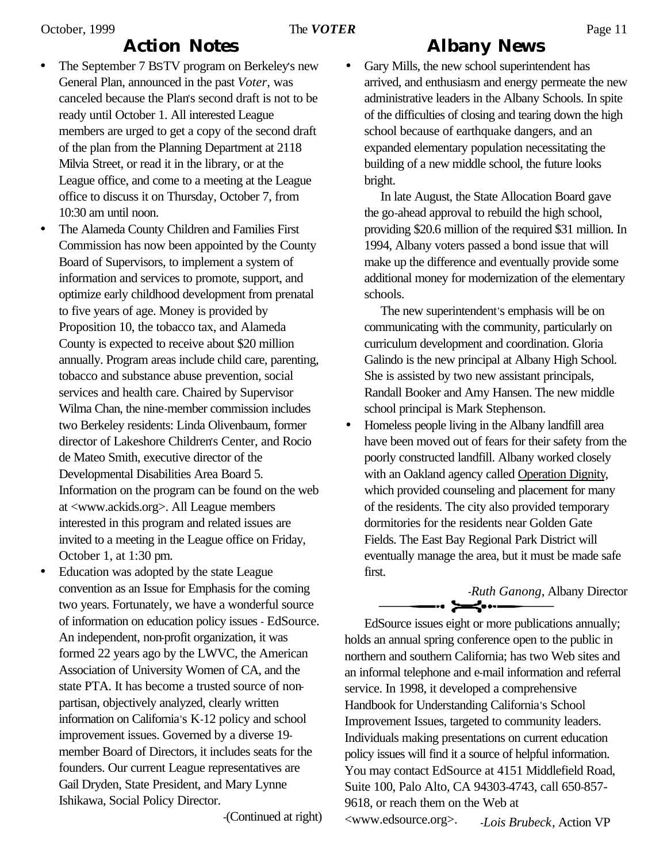### **Action Notes**

- The September 7 BSTV program on Berkeley's new General Plan, announced in the past *Voter*, was canceled because the Plan's second draft is not to be ready until October 1. All interested League members are urged to get a copy of the second draft of the plan from the Planning Department at 2118 Milvia Street, or read it in the library, or at the League office, and come to a meeting at the League office to discuss it on Thursday, October 7, from 10:30 am until noon.
- The Alameda County Children and Families First Commission has now been appointed by the County Board of Supervisors, to implement a system of information and services to promote, support, and optimize early childhood development from prenatal to five years of age. Money is provided by Proposition 10, the tobacco tax, and Alameda County is expected to receive about \$20 million annually. Program areas include child care, parenting, tobacco and substance abuse prevention, social services and health care. Chaired by Supervisor Wilma Chan, the nine-member commission includes two Berkeley residents: Linda Olivenbaum, former director of Lakeshore Children's Center, and Rocio de Mateo Smith, executive director of the Developmental Disabilities Area Board 5. Information on the program can be found on the web at <www.ackids.org>. All League members interested in this program and related issues are invited to a meeting in the League office on Friday, October 1, at 1:30 pm.
- Education was adopted by the state League convention as an Issue for Emphasis for the coming two years. Fortunately, we have a wonderful source of information on education policy issues - EdSource. An independent, non-profit organization, it was formed 22 years ago by the LWVC, the American Association of University Women of CA, and the state PTA. It has become a trusted source of nonpartisan, objectively analyzed, clearly written information on California's K-12 policy and school improvement issues. Governed by a diverse 19 member Board of Directors, it includes seats for the founders. Our current League representatives are Gail Dryden, State President, and Mary Lynne Ishikawa, Social Policy Director.

-(Continued at right)

### **Albany News**

• Gary Mills, the new school superintendent has arrived, and enthusiasm and energy permeate the new administrative leaders in the Albany Schools. In spite of the difficulties of closing and tearing down the high school because of earthquake dangers, and an expanded elementary population necessitating the building of a new middle school, the future looks bright.

 In late August, the State Allocation Board gave the go-ahead approval to rebuild the high school, providing \$20.6 million of the required \$31 million. In 1994, Albany voters passed a bond issue that will make up the difference and eventually provide some additional money for modernization of the elementary schools.

 The new superintendent's emphasis will be on communicating with the community, particularly on curriculum development and coordination. Gloria Galindo is the new principal at Albany High School. She is assisted by two new assistant principals, Randall Booker and Amy Hansen. The new middle school principal is Mark Stephenson.

• Homeless people living in the Albany landfill area have been moved out of fears for their safety from the poorly constructed landfill. Albany worked closely with an Oakland agency called Operation Dignity, which provided counseling and placement for many of the residents. The city also provided temporary dormitories for the residents near Golden Gate Fields. The East Bay Regional Park District will eventually manage the area, but it must be made safe first.

## **-***Ruth Ganong*, Albany Director

EdSource issues eight or more publications annually; holds an annual spring conference open to the public in northern and southern California; has two Web sites and an informal telephone and e-mail information and referral service. In 1998, it developed a comprehensive Handbook for Understanding California's School Improvement Issues, targeted to community leaders. Individuals making presentations on current education policy issues will find it a source of helpful information. You may contact EdSource at 4151 Middlefield Road, Suite 100, Palo Alto, CA 94303-4743, call 650-857- 9618, or reach them on the Web at <www.edsource.org>. -*Lois Brubeck*, Action VP

 $\overline{a}$